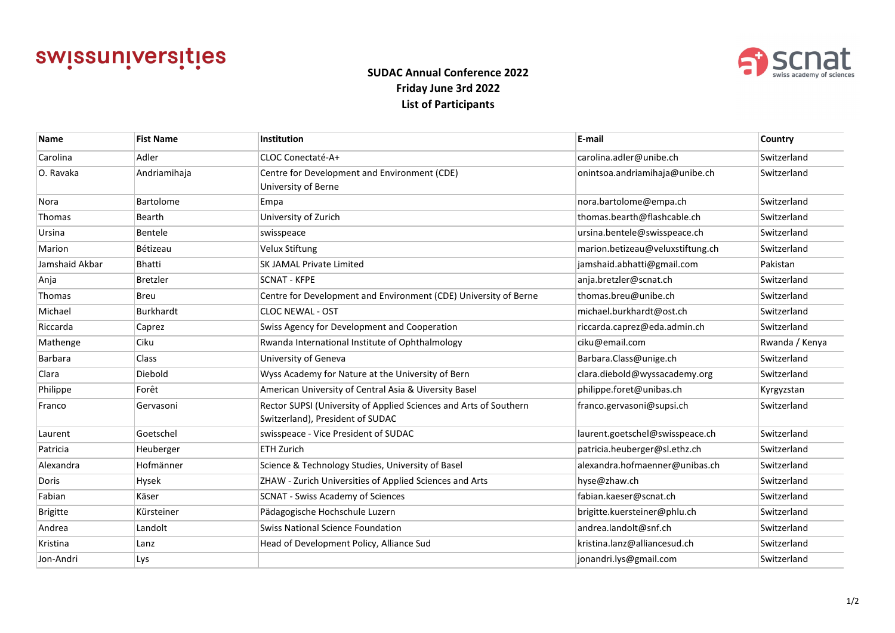# swissuniversities



## **SUDAC Annual Conference 2022 Friday June 3rd 2022 List of Participants**

| <b>Name</b>     | <b>Fist Name</b> | <b>Institution</b>                                                                                    | E-mail                           | <b>Country</b> |
|-----------------|------------------|-------------------------------------------------------------------------------------------------------|----------------------------------|----------------|
| Carolina        | Adler            | CLOC Conectaté-A+                                                                                     | carolina.adler@unibe.ch          | Switzerland    |
| O. Ravaka       | Andriamihaja     | Centre for Development and Environment (CDE)<br>University of Berne                                   | onintsoa.andriamihaja@unibe.ch   | Switzerland    |
| Nora            | Bartolome        | Empa                                                                                                  | nora.bartolome@empa.ch           | Switzerland    |
| Thomas          | Bearth           | University of Zurich                                                                                  | thomas.bearth@flashcable.ch      | Switzerland    |
| Ursina          | Bentele          | swisspeace                                                                                            | ursina.bentele@swisspeace.ch     | Switzerland    |
| Marion          | Bétizeau         | <b>Velux Stiftung</b>                                                                                 | marion.betizeau@veluxstiftung.ch | Switzerland    |
| Jamshaid Akbar  | Bhatti           | <b>SK JAMAL Private Limited</b>                                                                       | jamshaid.abhatti@gmail.com       | Pakistan       |
| Anja            | Bretzler         | <b>SCNAT - KFPE</b>                                                                                   | anja.bretzler@scnat.ch           | Switzerland    |
| Thomas          | Breu             | Centre for Development and Environment (CDE) University of Berne                                      | thomas.breu@unibe.ch             | Switzerland    |
| Michael         | Burkhardt        | <b>CLOC NEWAL - OST</b>                                                                               | michael.burkhardt@ost.ch         | Switzerland    |
| Riccarda        | Caprez           | Swiss Agency for Development and Cooperation                                                          | riccarda.caprez@eda.admin.ch     | Switzerland    |
| Mathenge        | Ciku             | Rwanda International Institute of Ophthalmology                                                       | ciku@email.com                   | Rwanda / Kenya |
| <b>Barbara</b>  | <b>Class</b>     | University of Geneva                                                                                  | Barbara.Class@unige.ch           | Switzerland    |
| Clara           | Diebold          | Wyss Academy for Nature at the University of Bern                                                     | clara.diebold@wyssacademy.org    | Switzerland    |
| Philippe        | Forêt            | American University of Central Asia & Uiversity Basel                                                 | philippe.foret@unibas.ch         | Kyrgyzstan     |
| Franco          | Gervasoni        | Rector SUPSI (University of Applied Sciences and Arts of Southern<br>Switzerland), President of SUDAC | franco.gervasoni@supsi.ch        | Switzerland    |
| Laurent         | Goetschel        | swisspeace - Vice President of SUDAC                                                                  | laurent.goetschel@swisspeace.ch  | Switzerland    |
| Patricia        | Heuberger        | <b>ETH Zurich</b>                                                                                     | patricia.heuberger@sl.ethz.ch    | Switzerland    |
| Alexandra       | Hofmänner        | Science & Technology Studies, University of Basel                                                     | alexandra.hofmaenner@unibas.ch   | Switzerland    |
| Doris           | Hysek            | ZHAW - Zurich Universities of Applied Sciences and Arts                                               | hyse@zhaw.ch                     | Switzerland    |
| Fabian          | Käser            | <b>SCNAT - Swiss Academy of Sciences</b>                                                              | fabian.kaeser@scnat.ch           | Switzerland    |
| <b>Brigitte</b> | Kürsteiner       | Pädagogische Hochschule Luzern                                                                        | brigitte.kuersteiner@phlu.ch     | Switzerland    |
| Andrea          | Landolt          | <b>Swiss National Science Foundation</b>                                                              | andrea.landolt@snf.ch            | Switzerland    |
| Kristina        | Lanz             | Head of Development Policy, Alliance Sud                                                              | kristina.lanz@alliancesud.ch     | Switzerland    |
| Jon-Andri       | Lys              |                                                                                                       | jonandri.lys@gmail.com           | Switzerland    |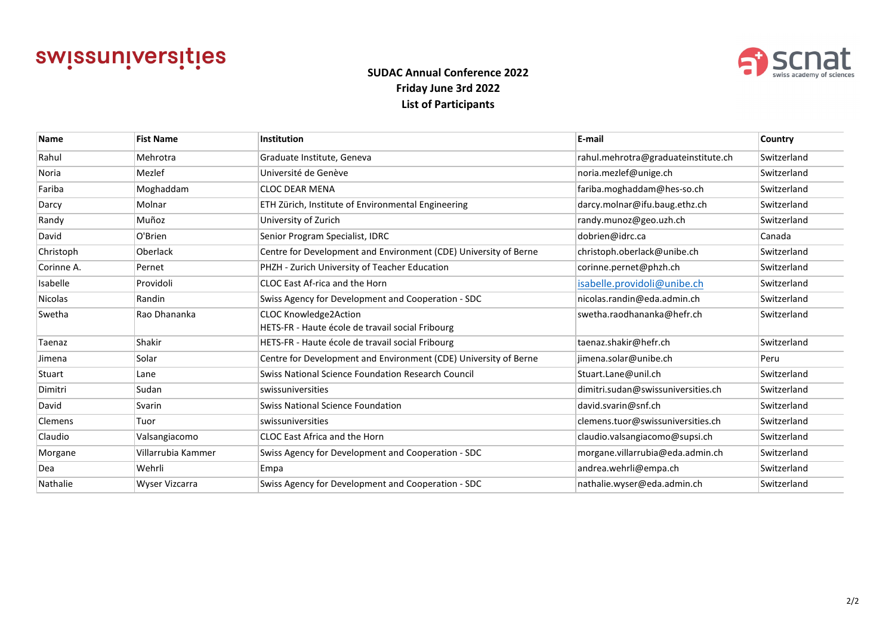# swissuniversities



## **SUDAC Annual Conference 2022 Friday June 3rd 2022 List of Participants**

| <b>Name</b>    | <b>Fist Name</b>   | <b>Institution</b>                                               | E-mail                              | <b>Country</b> |
|----------------|--------------------|------------------------------------------------------------------|-------------------------------------|----------------|
| Rahul          | Mehrotra           | Graduate Institute, Geneva                                       | rahul.mehrotra@graduateinstitute.ch | Switzerland    |
| Noria          | Mezlef             | Université de Genève                                             | noria.mezlef@unige.ch               | Switzerland    |
| Fariba         | Moghaddam          | <b>CLOC DEAR MENA</b>                                            | fariba.moghaddam@hes-so.ch          | Switzerland    |
| Darcy          | Molnar             | ETH Zürich, Institute of Environmental Engineering               | darcy.molnar@ifu.baug.ethz.ch       | Switzerland    |
| Randy          | Muñoz              | University of Zurich                                             | randy.munoz@geo.uzh.ch              | Switzerland    |
| David          | O'Brien            | Senior Program Specialist, IDRC                                  | dobrien@idrc.ca                     | Canada         |
| Christoph      | Oberlack           | Centre for Development and Environment (CDE) University of Berne | christoph.oberlack@unibe.ch         | Switzerland    |
| Corinne A.     | Pernet             | PHZH - Zurich University of Teacher Education                    | corinne.pernet@phzh.ch              | Switzerland    |
| Isabelle       | Providoli          | CLOC East Af-rica and the Horn                                   | isabelle.providoli@unibe.ch         | Switzerland    |
| <b>Nicolas</b> | Randin             | Swiss Agency for Development and Cooperation - SDC               | nicolas.randin@eda.admin.ch         | Switzerland    |
| Swetha         | Rao Dhananka       | <b>CLOC Knowledge2Action</b>                                     | swetha.raodhananka@hefr.ch          | Switzerland    |
|                |                    | HETS-FR - Haute école de travail social Fribourg                 |                                     |                |
| Taenaz         | Shakir             | HETS-FR - Haute école de travail social Fribourg                 | taenaz.shakir@hefr.ch               | Switzerland    |
| Jimena         | Solar              | Centre for Development and Environment (CDE) University of Berne | jimena.solar@unibe.ch               | Peru           |
| Stuart         | Lane               | Swiss National Science Foundation Research Council               | Stuart.Lane@unil.ch                 | Switzerland    |
| Dimitri        | Sudan              | swissuniversities                                                | dimitri.sudan@swissuniversities.ch  | Switzerland    |
| David          | Svarin             | Swiss National Science Foundation                                | david.svarin@snf.ch                 | Switzerland    |
| <b>Clemens</b> | Tuor               | swissuniversities                                                | clemens.tuor@swissuniversities.ch   | Switzerland    |
| Claudio        | Valsangiacomo      | CLOC East Africa and the Horn                                    | claudio.valsangiacomo@supsi.ch      | Switzerland    |
| Morgane        | Villarrubia Kammer | Swiss Agency for Development and Cooperation - SDC               | morgane.villarrubia@eda.admin.ch    | Switzerland    |
| Dea            | Wehrli             | Empa                                                             | andrea.wehrli@empa.ch               | Switzerland    |
| Nathalie       | Wyser Vizcarra     | Swiss Agency for Development and Cooperation - SDC               | nathalie.wyser@eda.admin.ch         | Switzerland    |
|                |                    |                                                                  |                                     |                |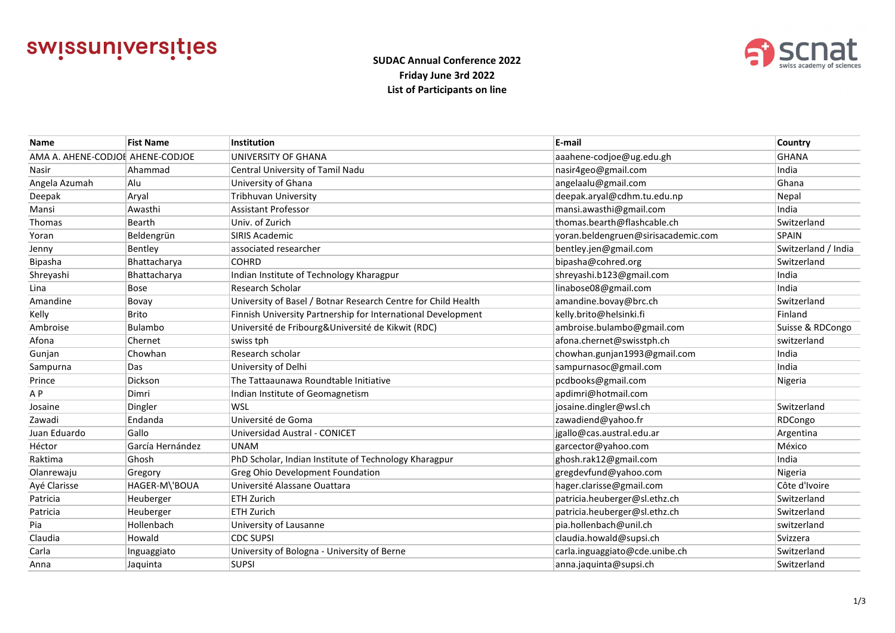



### **SUDAC Annual Conference 2022 Friday June 3rd 2022 List of Participants on line**

| <b>Name</b>                      | <b>Fist Name</b> | Institution                                                   | E-mail                              | Country             |
|----------------------------------|------------------|---------------------------------------------------------------|-------------------------------------|---------------------|
| AMA A. AHENE-CODJOI AHENE-CODJOE |                  | UNIVERSITY OF GHANA                                           | aaahene-codjoe@ug.edu.gh            | <b>GHANA</b>        |
| Nasir                            | Ahammad          | Central University of Tamil Nadu                              | nasir4geo@gmail.com                 | India               |
| Angela Azumah                    | Alu              | University of Ghana                                           | angelaalu@gmail.com                 | Ghana               |
| Deepak                           | Aryal            | Tribhuvan University                                          | deepak.aryal@cdhm.tu.edu.np         | Nepal               |
| Mansi                            | Awasthi          | Assistant Professor                                           | mansi.awasthi@gmail.com             | India               |
| Thomas                           | Bearth           | Univ. of Zurich                                               | thomas.bearth@flashcable.ch         | Switzerland         |
| Yoran                            | Beldengrün       | <b>SIRIS Academic</b>                                         | yoran.beldengruen@sirisacademic.com | <b>SPAIN</b>        |
| Jenny                            | Bentley          | associated researcher                                         | bentley.jen@gmail.com               | Switzerland / India |
| Bipasha                          | Bhattacharya     | <b>COHRD</b>                                                  | bipasha@cohred.org                  | Switzerland         |
| Shreyashi                        | Bhattacharya     | Indian Institute of Technology Kharagpur                      | shreyashi.b123@gmail.com            | India               |
| Lina                             | Bose             | Research Scholar                                              | linabose08@gmail.com                | India               |
| Amandine                         | Bovay            | University of Basel / Botnar Research Centre for Child Health | amandine.bovay@brc.ch               | Switzerland         |
| Kelly                            | Brito            | Finnish University Partnership for International Development  | kelly.brito@helsinki.fi             | Finland             |
| Ambroise                         | Bulambo          | Université de Fribourg&Université de Kikwit (RDC)             | ambroise.bulambo@gmail.com          | Suisse & RDCongo    |
| Afona                            | Chernet          | swiss tph                                                     | afona.chernet@swisstph.ch           | switzerland         |
| Gunjan                           | Chowhan          | Research scholar                                              | chowhan.gunjan1993@gmail.com        | India               |
| Sampurna                         | Das              | University of Delhi                                           | sampurnasoc@gmail.com               | India               |
| Prince                           | Dickson          | The Tattaaunawa Roundtable Initiative                         | pcdbooks@gmail.com                  | Nigeria             |
| A <sub>P</sub>                   | Dimri            | Indian Institute of Geomagnetism                              | apdimri@hotmail.com                 |                     |
| Josaine                          | Dingler          | <b>WSL</b>                                                    | josaine.dingler@wsl.ch              | Switzerland         |
| Zawadi                           | Endanda          | Université de Goma                                            | zawadiend@yahoo.fr                  | RDCongo             |
| Juan Eduardo                     | Gallo            | Universidad Austral - CONICET                                 | jgallo@cas.austral.edu.ar           | Argentina           |
| Héctor                           | García Hernández | <b>UNAM</b>                                                   | garcector@yahoo.com                 | México              |
| Raktima                          | Ghosh            | PhD Scholar, Indian Institute of Technology Kharagpur         | ghosh.rak12@gmail.com               | India               |
| Olanrewaju                       | Gregory          | <b>Greg Ohio Development Foundation</b>                       | gregdevfund@yahoo.com               | Nigeria             |
| Ayé Clarisse                     | HAGER-M\'BOUA    | Université Alassane Ouattara                                  | hager.clarisse@gmail.com            | Côte d'Ivoire       |
| Patricia                         | Heuberger        | <b>ETH Zurich</b>                                             | patricia.heuberger@sl.ethz.ch       | Switzerland         |
| Patricia                         | Heuberger        | <b>ETH Zurich</b>                                             | patricia.heuberger@sl.ethz.ch       | Switzerland         |
| Pia                              | Hollenbach       | University of Lausanne                                        | pia.hollenbach@unil.ch              | switzerland         |
| Claudia                          | Howald           | <b>CDC SUPSI</b>                                              | claudia.howald@supsi.ch             | Svizzera            |
| Carla                            | Inguaggiato      | University of Bologna - University of Berne                   | carla.inguaggiato@cde.unibe.ch      | Switzerland         |
| Anna                             | Jaquinta         | <b>SUPSI</b>                                                  | anna.jaquinta@supsi.ch              | Switzerland         |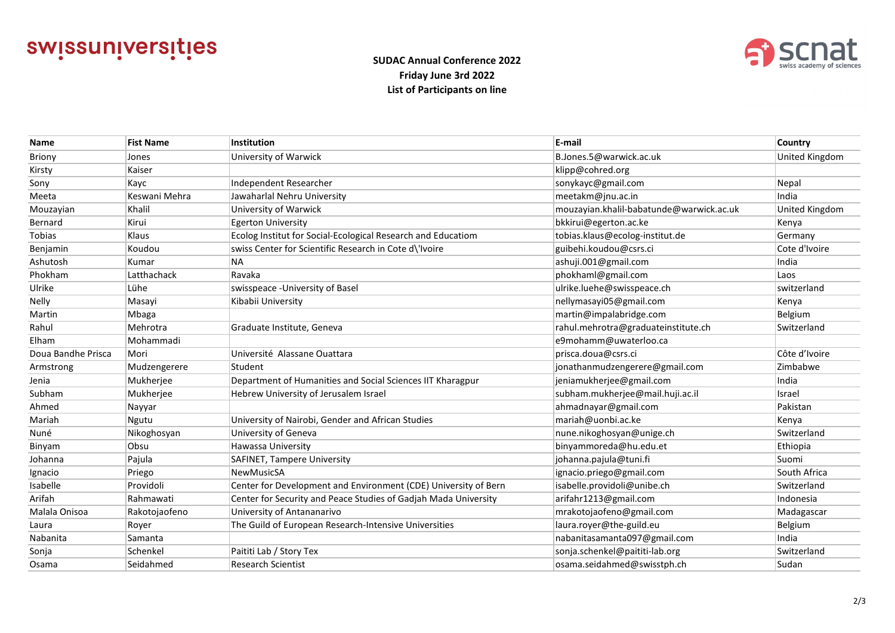



### **SUDAC Annual Conference 2022 Friday June 3rd 2022 List of Participants on line**

| <b>Name</b>        | <b>Fist Name</b> | Institution                                                     | E-mail                                   | Country               |
|--------------------|------------------|-----------------------------------------------------------------|------------------------------------------|-----------------------|
| <b>Briony</b>      | Jones            | University of Warwick                                           | B.Jones.5@warwick.ac.uk                  | United Kingdom        |
| Kirsty             | Kaiser           |                                                                 | klipp@cohred.org                         |                       |
| Sony               | Kayc             | Independent Researcher                                          | sonykayc@gmail.com                       | Nepal                 |
| Meeta              | Keswani Mehra    | Jawaharlal Nehru University                                     | meetakm@jnu.ac.in                        | India                 |
| Mouzayian          | Khalil           | University of Warwick                                           | mouzayian.khalil-babatunde@warwick.ac.uk | <b>United Kingdom</b> |
| Bernard            | Kirui            | <b>Egerton University</b>                                       | bkkirui@egerton.ac.ke                    | Kenya                 |
| <b>Tobias</b>      | Klaus            | Ecolog Institut for Social-Ecological Research and Educatiom    | tobias.klaus@ecolog-institut.de          | Germany               |
| Benjamin           | Koudou           | swiss Center for Scientific Research in Cote d\'Ivoire          | guibehi.koudou@csrs.ci                   | Cote d'Ivoire         |
| Ashutosh           | Kumar            | <b>NA</b>                                                       | ashuji.001@gmail.com                     | India                 |
| Phokham            | Latthachack      | Ravaka                                                          | phokhaml@gmail.com                       | Laos                  |
| Ulrike             | Lühe             | swisspeace - University of Basel                                | ulrike.luehe@swisspeace.ch               | switzerland           |
| Nelly              | Masayi           | Kibabii University                                              | nellymasayi05@gmail.com                  | Kenya                 |
| Martin             | Mbaga            |                                                                 | martin@impalabridge.com                  | Belgium               |
| Rahul              | Mehrotra         | Graduate Institute, Geneva                                      | rahul.mehrotra@graduateinstitute.ch      | Switzerland           |
| Elham              | Mohammadi        |                                                                 | e9mohamm@uwaterloo.ca                    |                       |
| Doua Bandhe Prisca | Mori             | Université Alassane Ouattara                                    | prisca.doua@csrs.ci                      | Côte d'Ivoire         |
| Armstrong          | Mudzengerere     | Student                                                         | jonathanmudzengerere@gmail.com           | Zimbabwe              |
| Jenia              | Mukherjee        | Department of Humanities and Social Sciences IIT Kharagpur      | jeniamukherjee@gmail.com                 | India                 |
| Subham             | Mukherjee        | Hebrew University of Jerusalem Israel                           | subham.mukherjee@mail.huji.ac.il         | Israel                |
| Ahmed              | Nayyar           |                                                                 | ahmadnayar@gmail.com                     | Pakistan              |
| Mariah             | Ngutu            | University of Nairobi, Gender and African Studies               | mariah@uonbi.ac.ke                       | Kenya                 |
| Nuné               | Nikoghosyan      | University of Geneva                                            | nune.nikoghosyan@unige.ch                | Switzerland           |
| Binyam             | Obsu             | Hawassa University                                              | binyammoreda@hu.edu.et                   | Ethiopia              |
| Johanna            | Pajula           | SAFINET, Tampere University                                     | johanna.pajula@tuni.fi                   | Suomi                 |
| Ignacio            | Priego           | NewMusicSA                                                      | ignacio.priego@gmail.com                 | South Africa          |
| Isabelle           | Providoli        | Center for Development and Environment (CDE) University of Bern | isabelle.providoli@unibe.ch              | Switzerland           |
| Arifah             | Rahmawati        | Center for Security and Peace Studies of Gadjah Mada University | arifahr1213@gmail.com                    | Indonesia             |
| Malala Onisoa      | Rakotojaofeno    | University of Antananarivo                                      | mrakotojaofeno@gmail.com                 | Madagascar            |
| Laura              | Royer            | The Guild of European Research-Intensive Universities           | laura.royer@the-guild.eu                 | Belgium               |
| Nabanita           | Samanta          |                                                                 | nabanitasamanta097@gmail.com             | India                 |
| Sonja              | Schenkel         | Paititi Lab / Story Tex                                         | sonja.schenkel@paititi-lab.org           | Switzerland           |
| Osama              | Seidahmed        | <b>Research Scientist</b>                                       | osama.seidahmed@swisstph.ch              | Sudan                 |